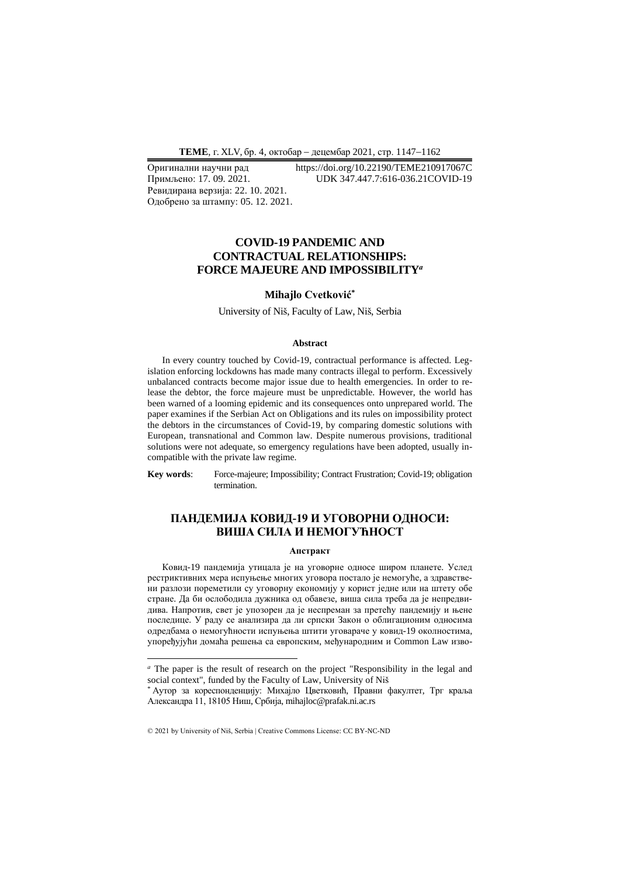**ТEME**, г. XLV, бр. 4, октобар − децембар 2021, стр. 1147−1162

Ревидирана верзија: 22. 10. 2021. Одобрено за штампу: 05. 12. 2021.

Оригинални научни рад https://doi.org/10.22190/TEME210917067C<br>Примљено: 17. 09. 2021. UDK 347.447.7:616-036.21COVID-19 Примљено: 17. 09. 2021. UDK 347.447.7:616-036.21COVID-19

# **COVID-19 PANDEMIC AND CONTRACTUAL RELATIONSHIPS: FORCE MAJEURE AND IMPOSSIBILITY***<sup>а</sup>*

## **Mihajlo Cvetković\***

University of Niš, Faculty of Law, Niš, Serbia

#### **Abstract**

In every country touched by Covid-19, contractual performance is affected. Legislation enforcing lockdowns has made many contracts illegal to perform. Excessively unbalanced contracts become major issue due to health emergencies. In order to release the debtor, the force majeure must be unpredictable. However, the world has been warned of a looming epidemic and its consequences onto unprepared world. The paper examines if the Serbian Act on Obligations and its rules on impossibility protect the debtors in the circumstances of Covid-19, by comparing domestic solutions with European, transnational and Common law. Despite numerous provisions, traditional solutions were not adequate, so emergency regulations have been adopted, usually incompatible with the private law regime.

**Key words**: Force-majeure; Impossibility; Contract Frustration; Covid-19; obligation termination.

# **ПАНДЕМИЈА КОВИД-19 И УГОВОРНИ ОДНОСИ: ВИША СИЛА И НЕМОГУЋНОСТ**

#### **Апстракт**

Ковид-19 пандемија утицала је на уговорне односе широм планете. Услед рестриктивних мера испуњење многих уговора постало је немогуће, а здравствени разлози пореметили су уговорну економију у корист једне или на штету обе стране. Да би ослободила дужника од обавезе, виша сила треба да је непредвидива. Напротив, свет је упозорен да је неспреман за претећу пандемију и њене последице. У раду се анализира да ли српски Закон о облигационим односима одредбама о немогућности испуњења штити уговараче у ковид-19 околностима, упоређујући домаћа решења са европским, међународним и Common Law изво-

*<sup>а</sup>* The paper is the result of research on the project "Responsibility in the legal and social context", funded by the Faculty of Law, University of Niš

<sup>\*</sup> Аутор за кореспонденцију: Михајло Цветковић, Правни факултет, Трг краља Александра 11, 18105 Ниш, Србија, mihajloc@prafak.ni.ac.rs

<sup>© 2021</sup> by University of Niš, Serbia | Creative Commons License: CC BY-NC-ND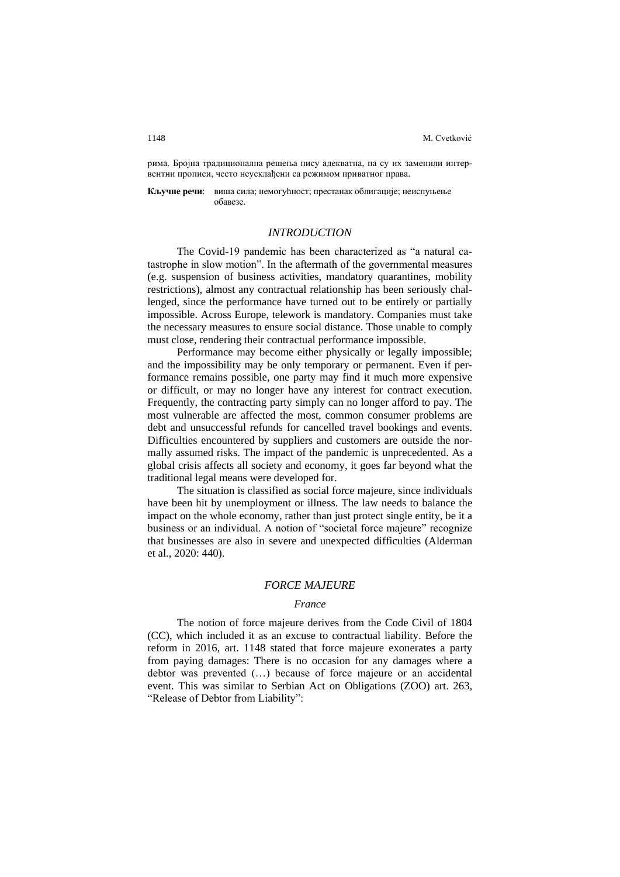рима. Бројна традиционална решења нису адекватна, па су их заменили интервентни прописи, често неусклађени са режимом приватног права.

**Кључне речи**: виша сила; немогућност; престанак облигације; неиспуњење обавезе.

## *INTRODUCTION*

The Covid-19 pandemic has been characterized as "a natural catastrophe in slow motion". In the aftermath of the governmental measures (e.g. suspension of business activities, mandatory quarantines, mobility restrictions), almost any contractual relationship has been seriously challenged, since the performance have turned out to be entirely or partially impossible. Across Europe, telework is mandatory. Companies must take the necessary measures to ensure social distance. Those unable to comply must close, rendering their contractual performance impossible.

Performance may become either physically or legally impossible; and the impossibility may be only temporary or permanent. Even if performance remains possible, one party may find it much more expensive or difficult, or may no longer have any interest for contract execution. Frequently, the contracting party simply can no longer afford to pay. The most vulnerable are affected the most, common consumer problems are debt and unsuccessful refunds for cancelled travel bookings and events. Difficulties encountered by suppliers and customers are outside the normally assumed risks. The impact of the pandemic is unprecedented. As a global crisis affects all society and economy, it goes far beyond what the traditional legal means were developed for.

The situation is classified as social force majeure, since individuals have been hit by unemployment or illness. The law needs to balance the impact on the whole economy, rather than just protect single entity, be it a business or an individual. A notion of "societal force majeure" recognize that businesses are also in severe and unexpected difficulties (Alderman et al., 2020: 440).

## *FORCE MAJEURE*

#### *France*

The notion of force majeure derives from the Code Civil of 1804 (CC), which included it as an excuse to contractual liability. Before the reform in 2016, art. 1148 stated that force majeure exonerates a party from paying damages: There is no occasion for any damages where a debtor was prevented (…) because of force majeure or an accidental event. This was similar to Serbian Act on Obligations (ZOO) art. 263, "Release of Debtor from Liability":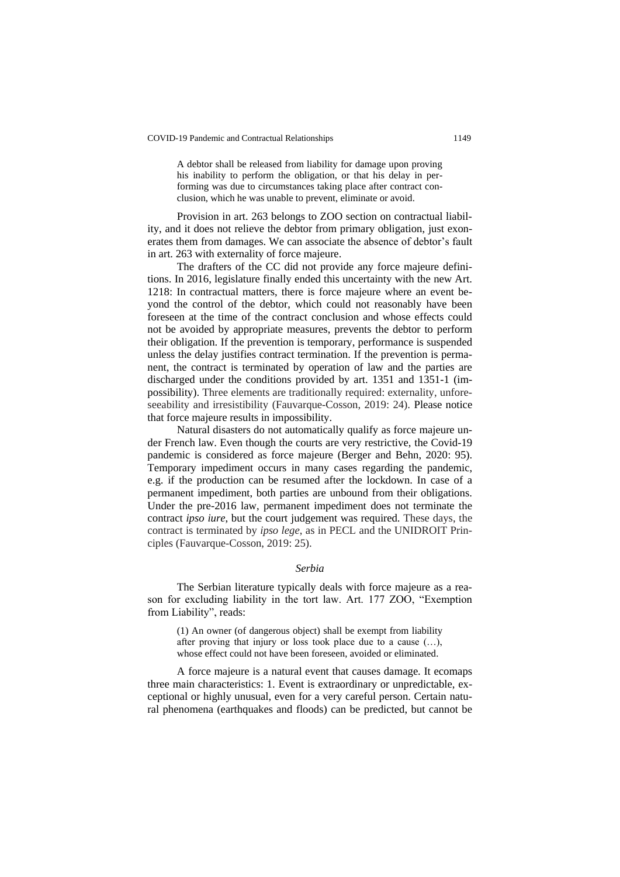A debtor shall be released from liability for damage upon proving his inability to perform the obligation, or that his delay in performing was due to circumstances taking place after contract conclusion, which he was unable to prevent, eliminate or avoid.

Provision in art. 263 belongs to ZOO section on contractual liability, and it does not relieve the debtor from primary obligation, just exonerates them from damages. We can associate the absence of debtor's fault in art. 263 with externality of force majeure.

The drafters of the CC did not provide any force majeure definitions. In 2016, legislature finally ended this uncertainty with the new Art. 1218: In contractual matters, there is force majeure where an event beyond the control of the debtor, which could not reasonably have been foreseen at the time of the contract conclusion and whose effects could not be avoided by appropriate measures, prevents the debtor to perform their obligation. If the prevention is temporary, performance is suspended unless the delay justifies contract termination. If the prevention is permanent, the contract is terminated by operation of law and the parties are discharged under the conditions provided by art. 1351 and 1351-1 (impossibility). Three elements are traditionally required: externality, unforeseeability and irresistibility (Fauvarque-Cosson, 2019: 24). Please notice that force majeure results in impossibility.

Natural disasters do not automatically qualify as force majeure under French law. Even though the courts are very restrictive, the Covid-19 pandemic is considered as force majeure (Berger and Behn, 2020: 95). Temporary impediment occurs in many cases regarding the pandemic, e.g. if the production can be resumed after the lockdown. In case of a permanent impediment, both parties are unbound from their obligations. Under the pre-2016 law, permanent impediment does not terminate the contract *ipso iure*, but the court judgement was required. These days, the contract is terminated by *ipso lege*, as in PECL and the UNIDROIT Principles (Fauvarque-Cosson, 2019: 25).

## *Serbia*

The Serbian literature typically deals with force majeure as a reason for excluding liability in the tort law. Art. 177 ZOO, "Exemption from Liability", reads:

(1) An owner (of dangerous object) shall be exempt from liability after proving that injury or loss took place due to a cause (…), whose effect could not have been foreseen, avoided or eliminated.

A force majeure is a natural event that causes damage. It ecomaps three main characteristics: 1. Event is extraordinary or unpredictable, exceptional or highly unusual, even for a very careful person. Certain natural phenomena (earthquakes and floods) can be predicted, but cannot be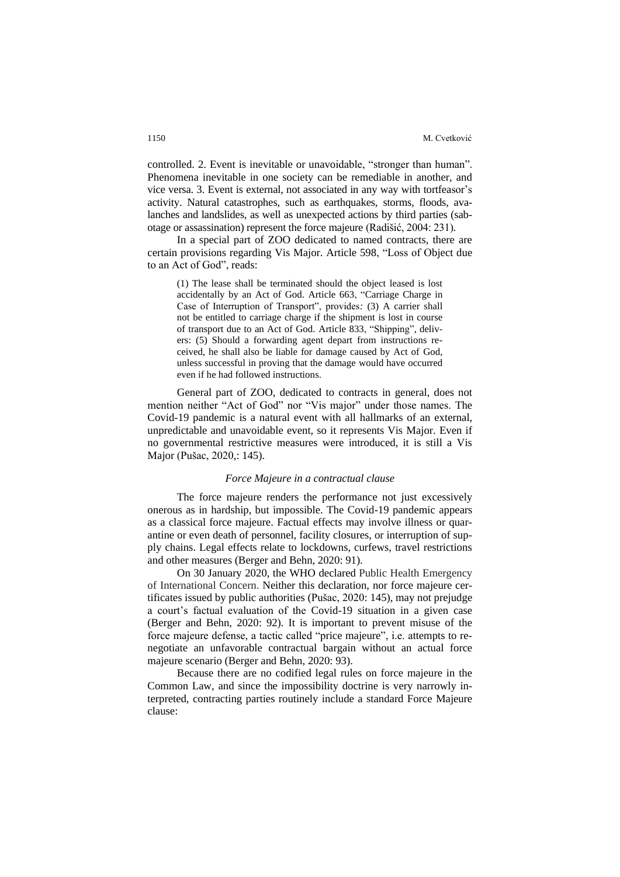controlled. 2. Event is inevitable or unavoidable, "stronger than human". Phenomena inevitable in one society can be remediable in another, and vice versa. 3. Event is external, not associated in any way with tortfeasor's activity. Natural catastrophes, such as earthquakes, storms, floods, avalanches and landslides, as well as unexpected actions by third parties (sabotage or assassination) represent the force majeure (Radišić, 2004: 231).

In a special part of ZOO dedicated to named contracts, there are certain provisions regarding Vis Major. Article 598, "Loss of Object due to an Act of God", reads:

(1) The lease shall be terminated should the object leased is lost accidentally by an Act of God. Article 663, "Carriage Charge in Case of Interruption of Transport", provides*:* (3) A carrier shall not be entitled to carriage charge if the shipment is lost in course of transport due to an Act of God. Article 833, "Shipping"*,* delivers: (5) Should a forwarding agent depart from instructions received, he shall also be liable for damage caused by Act of God, unless successful in proving that the damage would have occurred even if he had followed instructions.

General part of ZOO, dedicated to contracts in general, does not mention neither "Act of God" nor "Vis major" under those names. The Covid-19 pandemic is a natural event with all hallmarks of an external, unpredictable and unavoidable event, so it represents Vis Major. Even if no governmental restrictive measures were introduced, it is still a Vis Major (Pušac, 2020,: 145).

## *Force Majeure in a contractual clause*

The force majeure renders the performance not just excessively onerous as in hardship, but impossible. The Covid-19 pandemic appears as a classical force majeure. Factual effects may involve illness or quarantine or even death of personnel, facility closures, or interruption of supply chains. Legal effects relate to lockdowns, curfews, travel restrictions and other measures (Berger and Behn, 2020: 91).

On 30 January 2020, the WHO declared Public Health Emergency of International Concern. Neither this declaration, nor force majeure certificates issued by public authorities (Pušac, 2020: 145), may not prejudge a court's factual evaluation of the Covid-19 situation in a given case (Berger and Behn, 2020: 92). It is important to prevent misuse of the force majeure defense, a tactic called "price majeure", i.e. attempts to renegotiate an unfavorable contractual bargain without an actual force majeure scenario (Berger and Behn, 2020: 93).

Because there are no codified legal rules on force majeure in the Common Law, and since the impossibility doctrine is very narrowly interpreted, contracting parties routinely include a standard Force Majeure clause: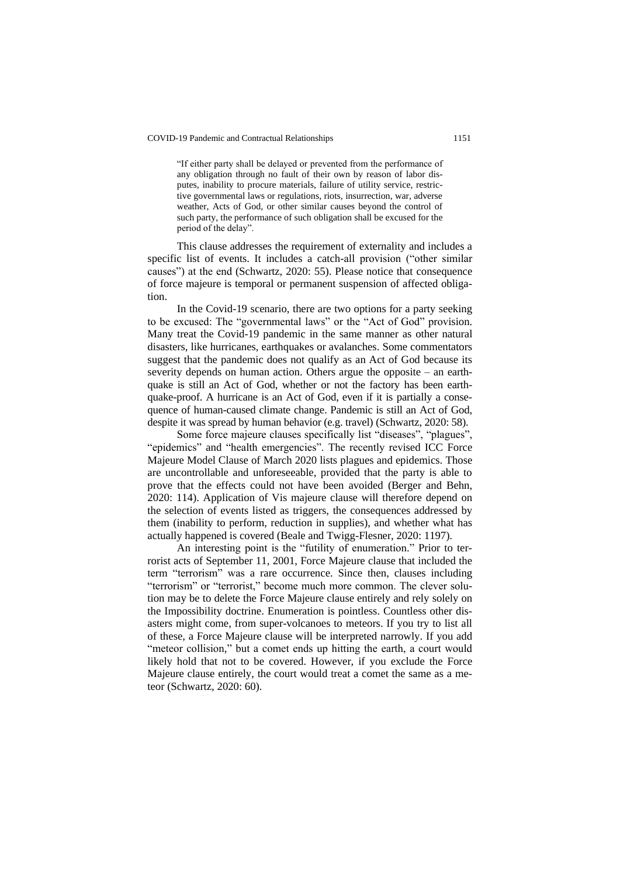#### COVID-19 Pandemic and Contractual Relationships 1151

"If either party shall be delayed or prevented from the performance of any obligation through no fault of their own by reason of labor disputes, inability to procure materials, failure of utility service, restrictive governmental laws or regulations, riots, insurrection, war, adverse weather, Acts of God, or other similar causes beyond the control of such party, the performance of such obligation shall be excused for the period of the delay".

This clause addresses the requirement of externality and includes a specific list of events. It includes a catch-all provision ("other similar causes") at the end (Schwartz, 2020: 55). Please notice that consequence of force majeure is temporal or permanent suspension of affected obligation.

In the Covid-19 scenario, there are two options for a party seeking to be excused: The "governmental laws" or the "Act of God" provision. Many treat the Covid-19 pandemic in the same manner as other natural disasters, like hurricanes, earthquakes or avalanches. Some commentators suggest that the pandemic does not qualify as an Act of God because its severity depends on human action. Others argue the opposite – an earthquake is still an Act of God, whether or not the factory has been earthquake-proof. A hurricane is an Act of God, even if it is partially a consequence of human-caused climate change. Pandemic is still an Act of God, despite it was spread by human behavior (e.g. travel) (Schwartz, 2020: 58).

Some force majeure clauses specifically list "diseases", "plagues", "epidemics" and "health emergencies". The recently revised ICC Force Majeure Model Clause of March 2020 lists plagues and epidemics. Those are uncontrollable and unforeseeable, provided that the party is able to prove that the effects could not have been avoided (Berger and Behn, 2020: 114). Application of Vis majeure clause will therefore depend on the selection of events listed as triggers, the consequences addressed by them (inability to perform, reduction in supplies), and whether what has actually happened is covered (Beale and Twigg-Flesner, 2020: 1197).

An interesting point is the "futility of enumeration." Prior to terrorist acts of September 11, 2001, Force Majeure clause that included the term "terrorism" was a rare occurrence. Since then, clauses including "terrorism" or "terrorist," become much more common. The clever solution may be to delete the Force Majeure clause entirely and rely solely on the Impossibility doctrine. Enumeration is pointless. Countless other disasters might come, from super-volcanoes to meteors. If you try to list all of these, a Force Majeure clause will be interpreted narrowly. If you add "meteor collision," but a comet ends up hitting the earth, a court would likely hold that not to be covered. However, if you exclude the Force Majeure clause entirely, the court would treat a comet the same as a meteor (Schwartz, 2020: 60).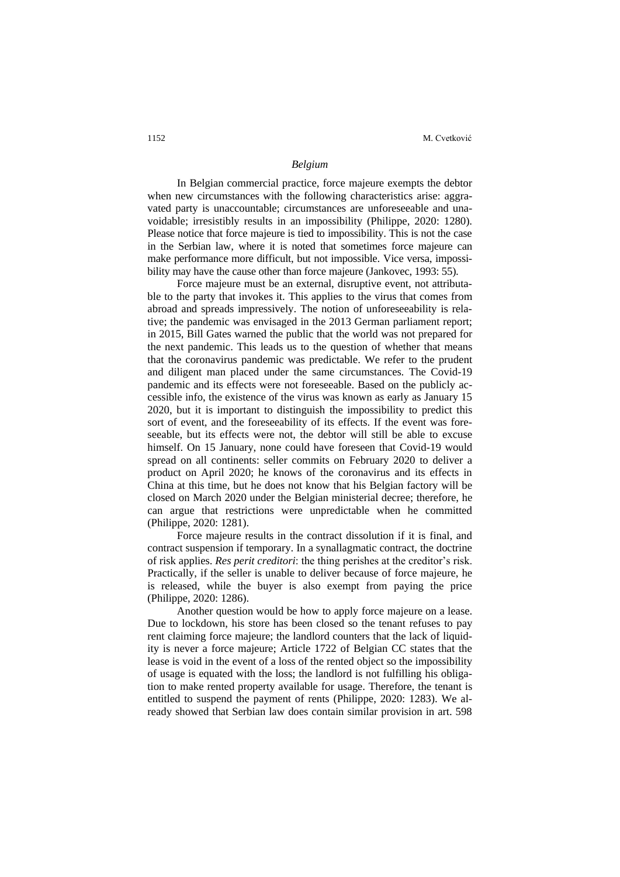## *Belgium*

In Belgian commercial practice, force majeure exempts the debtor when new circumstances with the following characteristics arise: aggravated party is unaccountable; circumstances are unforeseeable and unavoidable; irresistibly results in an impossibility (Philippe, 2020: 1280). Please notice that force majeure is tied to impossibility. This is not the case in the Serbian law, where it is noted that sometimes force majeure can make performance more difficult, but not impossible. Vice versa, impossibility may have the cause other than force majeure (Jankovec, 1993: 55).

Force majeure must be an external, disruptive event, not attributable to the party that invokes it. This applies to the virus that comes from abroad and spreads impressively. The notion of unforeseeability is relative; the pandemic was envisaged in the 2013 German parliament report; in 2015, Bill Gates warned the public that the world was not prepared for the next pandemic. This leads us to the question of whether that means that the coronavirus pandemic was predictable. We refer to the prudent and diligent man placed under the same circumstances. The Covid-19 pandemic and its effects were not foreseeable. Based on the publicly accessible info, the existence of the virus was known as early as January 15 2020, but it is important to distinguish the impossibility to predict this sort of event, and the foreseeability of its effects. If the event was foreseeable, but its effects were not, the debtor will still be able to excuse himself. On 15 January, none could have foreseen that Covid-19 would spread on all continents: seller commits on February 2020 to deliver a product on April 2020; he knows of the coronavirus and its effects in China at this time, but he does not know that his Belgian factory will be closed on March 2020 under the Belgian ministerial decree; therefore, he can argue that restrictions were unpredictable when he committed (Philippe, 2020: 1281).

Force majeure results in the contract dissolution if it is final, and contract suspension if temporary. In a synallagmatic contract, the doctrine of risk applies. *Res perit creditori*: the thing perishes at the creditor's risk. Practically, if the seller is unable to deliver because of force majeure, he is released, while the buyer is also exempt from paying the price (Philippe, 2020: 1286).

Another question would be how to apply force majeure on a lease. Due to lockdown, his store has been closed so the tenant refuses to pay rent claiming force majeure; the landlord counters that the lack of liquidity is never a force majeure; Article 1722 of Belgian CC states that the lease is void in the event of a loss of the rented object so the impossibility of usage is equated with the loss; the landlord is not fulfilling his obligation to make rented property available for usage. Therefore, the tenant is entitled to suspend the payment of rents (Philippe, 2020: 1283). We already showed that Serbian law does contain similar provision in art. 598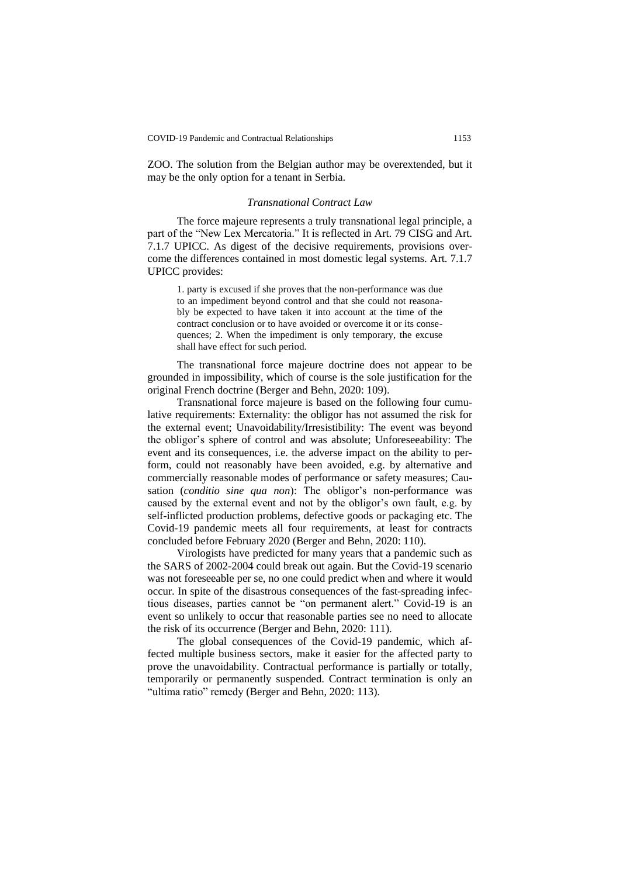ZOO. The solution from the Belgian author may be overextended, but it may be the only option for a tenant in Serbia.

## *Transnational Contract Law*

The force majeure represents a truly transnational legal principle, a part of the "New Lex Mercatoria." It is reflected in Art. 79 CISG and Art. 7.1.7 UPICC. As digest of the decisive requirements, provisions overcome the differences contained in most domestic legal systems. Art. 7.1.7 UPICC provides:

1. party is excused if she proves that the non-performance was due to an impediment beyond control and that she could not reasonably be expected to have taken it into account at the time of the contract conclusion or to have avoided or overcome it or its consequences; 2. When the impediment is only temporary, the excuse shall have effect for such period.

The transnational force majeure doctrine does not appear to be grounded in impossibility, which of course is the sole justification for the original French doctrine (Berger and Behn, 2020: 109).

Transnational force majeure is based on the following four cumulative requirements: Externality: the obligor has not assumed the risk for the external event; Unavoidability/Irresistibility: The event was beyond the obligor's sphere of control and was absolute; Unforeseeability: The event and its consequences, i.e. the adverse impact on the ability to perform, could not reasonably have been avoided, e.g. by alternative and commercially reasonable modes of performance or safety measures; Causation (*conditio sine qua non*): The obligor's non-performance was caused by the external event and not by the obligor's own fault, e.g. by self-inflicted production problems, defective goods or packaging etc. The Covid-19 pandemic meets all four requirements, at least for contracts concluded before February 2020 (Berger and Behn, 2020: 110).

Virologists have predicted for many years that a pandemic such as the SARS of 2002-2004 could break out again. But the Covid-19 scenario was not foreseeable per se, no one could predict when and where it would occur. In spite of the disastrous consequences of the fast-spreading infectious diseases, parties cannot be "on permanent alert." Covid-19 is an event so unlikely to occur that reasonable parties see no need to allocate the risk of its occurrence (Berger and Behn, 2020: 111).

The global consequences of the Covid-19 pandemic, which affected multiple business sectors, make it easier for the affected party to prove the unavoidability. Contractual performance is partially or totally, temporarily or permanently suspended. Contract termination is only an "ultima ratio" remedy (Berger and Behn, 2020: 113).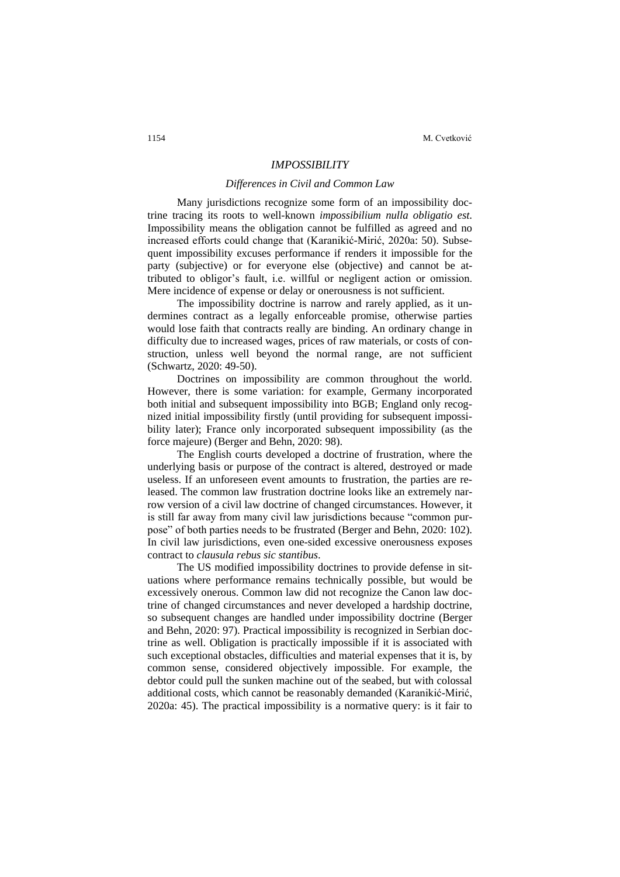## *IMPOSSIBILITY*

## *Differences in Civil and Common Law*

Many jurisdictions recognize some form of an impossibility doctrine tracing its roots to well-known *impossibilium nulla obligatio est*. Impossibility means the obligation cannot be fulfilled as agreed and no increased efforts could change that (Karanikić-Mirić, 2020a: 50). Subsequent impossibility excuses performance if renders it impossible for the party (subjective) or for everyone else (objective) and cannot be attributed to obligor's fault, i.e. willful or negligent action or omission. Mere incidence of expense or delay or onerousness is not sufficient.

The impossibility doctrine is narrow and rarely applied, as it undermines contract as a legally enforceable promise, otherwise parties would lose faith that contracts really are binding. An ordinary change in difficulty due to increased wages, prices of raw materials, or costs of construction, unless well beyond the normal range, are not sufficient (Schwartz, 2020: 49-50).

Doctrines on impossibility are common throughout the world. However, there is some variation: for example, Germany incorporated both initial and subsequent impossibility into BGB; England only recognized initial impossibility firstly (until providing for subsequent impossibility later); France only incorporated subsequent impossibility (as the force majeure) (Berger and Behn, 2020: 98).

The English courts developed a doctrine of frustration, where the underlying basis or purpose of the contract is altered, destroyed or made useless. If an unforeseen event amounts to frustration, the parties are released. The common law frustration doctrine looks like an extremely narrow version of a civil law doctrine of changed circumstances. However, it is still far away from many civil law jurisdictions because "common purpose" of both parties needs to be frustrated (Berger and Behn, 2020: 102). In civil law jurisdictions, even one-sided excessive onerousness exposes contract to *clausula rebus sic stantibus*.

The US modified impossibility doctrines to provide defense in situations where performance remains technically possible, but would be excessively onerous. Common law did not recognize the Canon law doctrine of changed circumstances and never developed a hardship doctrine, so subsequent changes are handled under impossibility doctrine (Berger and Behn, 2020: 97). Practical impossibility is recognized in Serbian doctrine as well. Obligation is practically impossible if it is associated with such exceptional obstacles, difficulties and material expenses that it is, by common sense, considered objectively impossible. For example, the debtor could pull the sunken machine out of the seabed, but with colossal additional costs, which cannot be reasonably demanded (Karanikić-Mirić, 2020a: 45). The practical impossibility is a normative query: is it fair to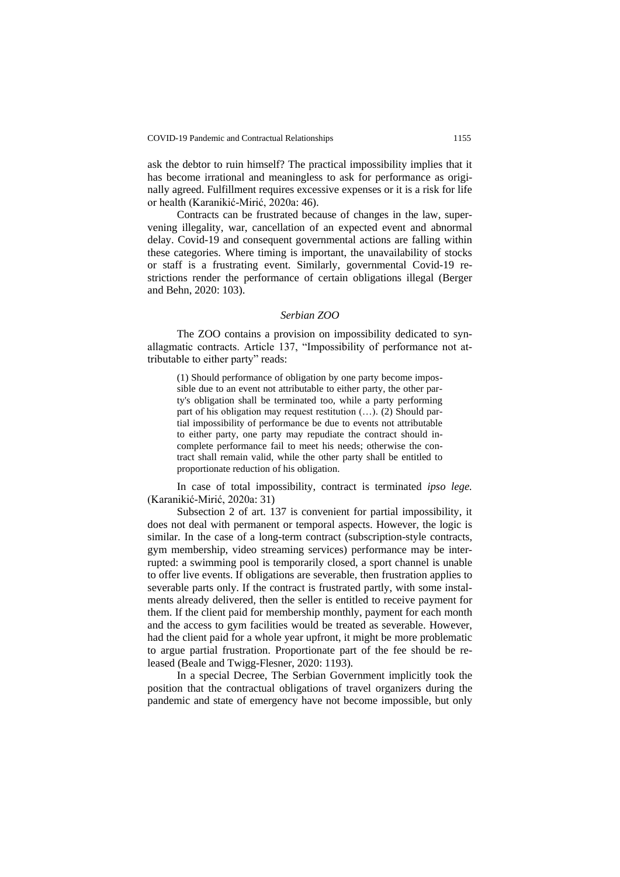ask the debtor to ruin himself? The practical impossibility implies that it has become irrational and meaningless to ask for performance as originally agreed. Fulfillment requires excessive expenses or it is a risk for life or health (Karanikić-Mirić, 2020a: 46).

Contracts can be frustrated because of changes in the law, supervening illegality, war, cancellation of an expected event and abnormal delay. Covid-19 and consequent governmental actions are falling within these categories. Where timing is important, the unavailability of stocks or staff is a frustrating event. Similarly, governmental Covid-19 restrictions render the performance of certain obligations illegal (Berger and Behn, 2020: 103).

## *Serbian ZOO*

The ZOO contains a provision on impossibility dedicated to synallagmatic contracts. Article 137, "Impossibility of performance not attributable to either party" reads:

(1) Should performance of obligation by one party become impossible due to an event not attributable to either party, the other party's obligation shall be terminated too, while a party performing part of his obligation may request restitution (…). (2) Should partial impossibility of performance be due to events not attributable to either party, one party may repudiate the contract should incomplete performance fail to meet his needs; otherwise the contract shall remain valid, while the other party shall be entitled to proportionate reduction of his obligation.

In case of total impossibility, contract is terminated *ipso lege.* (Karanikić-Mirić, 2020a: 31)

Subsection 2 of art. 137 is convenient for partial impossibility, it does not deal with permanent or temporal aspects. However, the logic is similar. In the case of a long-term contract (subscription-style contracts, gym membership, video streaming services) performance may be interrupted: a swimming pool is temporarily closed, a sport channel is unable to offer live events. If obligations are severable, then frustration applies to severable parts only. If the contract is frustrated partly, with some instalments already delivered, then the seller is entitled to receive payment for them. If the client paid for membership monthly, payment for each month and the access to gym facilities would be treated as severable. However, had the client paid for a whole year upfront, it might be more problematic to argue partial frustration. Proportionate part of the fee should be released (Beale and Twigg-Flesner, 2020: 1193).

In a special Decree, The Serbian Government implicitly took the position that the contractual obligations of travel organizers during the pandemic and state of emergency have not become impossible, but only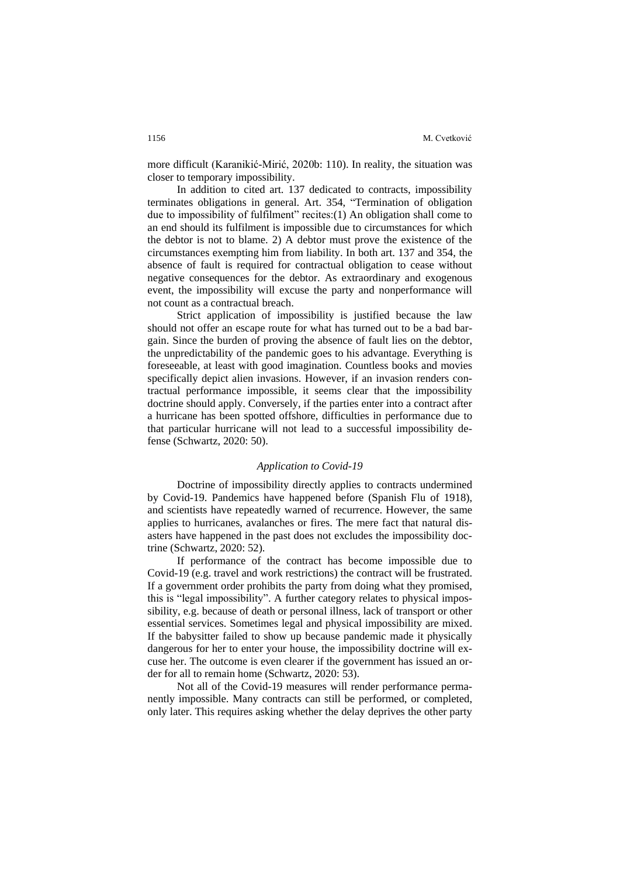more difficult (Karanikić-Mirić, 2020b: 110). In reality, the situation was closer to temporary impossibility.

In addition to cited art. 137 dedicated to contracts, impossibility terminates obligations in general. Art. 354, "Termination of obligation due to impossibility of fulfilment" recites:(1) An obligation shall come to an end should its fulfilment is impossible due to circumstances for which the debtor is not to blame. 2) A debtor must prove the existence of the circumstances exempting him from liability. In both art. 137 and 354, the absence of fault is required for contractual obligation to cease without negative consequences for the debtor. As extraordinary and exogenous event, the impossibility will excuse the party and nonperformance will not count as a contractual breach.

Strict application of impossibility is justified because the law should not offer an escape route for what has turned out to be a bad bargain. Since the burden of proving the absence of fault lies on the debtor, the unpredictability of the pandemic goes to his advantage. Everything is foreseeable, at least with good imagination. Countless books and movies specifically depict alien invasions. However, if an invasion renders contractual performance impossible, it seems clear that the impossibility doctrine should apply. Conversely, if the parties enter into a contract after a hurricane has been spotted offshore, difficulties in performance due to that particular hurricane will not lead to a successful impossibility defense (Schwartz, 2020: 50).

## *Application to Covid-19*

Doctrine of impossibility directly applies to contracts undermined by Covid-19. Pandemics have happened before (Spanish Flu of 1918), and scientists have repeatedly warned of recurrence. However, the same applies to hurricanes, avalanches or fires. The mere fact that natural disasters have happened in the past does not excludes the impossibility doctrine (Schwartz, 2020: 52).

If performance of the contract has become impossible due to Covid-19 (e.g. travel and work restrictions) the contract will be frustrated. If a government order prohibits the party from doing what they promised, this is "legal impossibility". A further category relates to physical impossibility, e.g. because of death or personal illness, lack of transport or other essential services. Sometimes legal and physical impossibility are mixed. If the babysitter failed to show up because pandemic made it physically dangerous for her to enter your house, the impossibility doctrine will excuse her. The outcome is even clearer if the government has issued an order for all to remain home (Schwartz, 2020: 53).

Not all of the Covid-19 measures will render performance permanently impossible. Many contracts can still be performed, or completed, only later. This requires asking whether the delay deprives the other party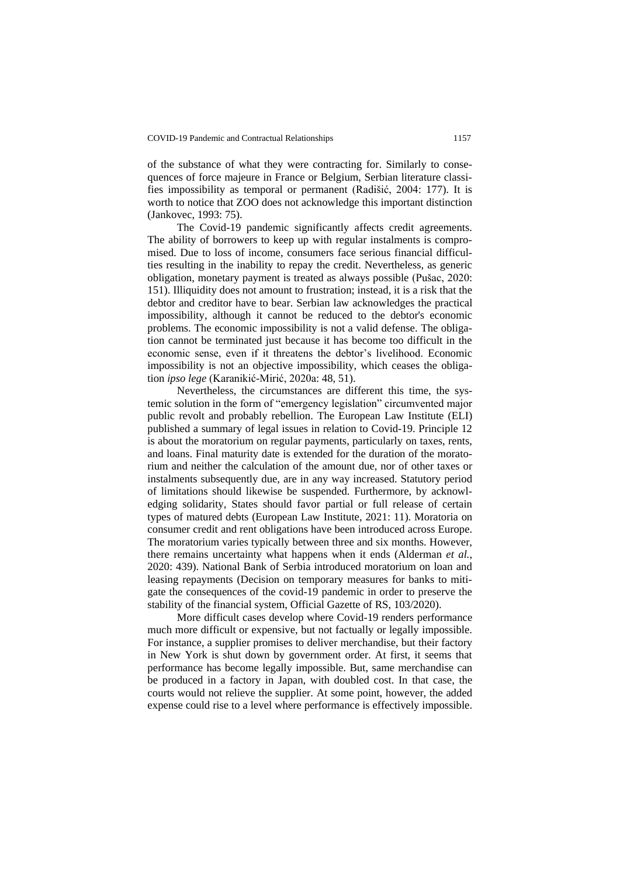of the substance of what they were contracting for. Similarly to consequences of force majeure in France or Belgium, Serbian literature classifies impossibility as temporal or permanent (Radišić, 2004: 177). It is worth to notice that ZOO does not acknowledge this important distinction (Jankovec, 1993: 75).

The Covid-19 pandemic significantly affects credit agreements. The ability of borrowers to keep up with regular instalments is compromised. Due to loss of income, consumers face serious financial difficulties resulting in the inability to repay the credit. Nevertheless, as generic obligation, monetary payment is treated as always possible (Pušac, 2020: 151). Illiquidity does not amount to frustration; instead, it is a risk that the debtor and creditor have to bear. Serbian law acknowledges the practical impossibility, although it cannot be reduced to the debtor's economic problems. The economic impossibility is not a valid defense. The obligation cannot be terminated just because it has become too difficult in the economic sense, even if it threatens the debtor's livelihood. Economic impossibility is not an objective impossibility, which ceases the obligation *ipso lege* (Karanikić-Mirić, 2020a: 48, 51).

Nevertheless, the circumstances are different this time, the systemic solution in the form of "emergency legislation" circumvented major public revolt and probably rebellion. The European Law Institute (ELI) published a summary of legal issues in relation to Covid-19. Principle 12 is about the moratorium on regular payments, particularly on taxes, rents, and loans. Final maturity date is extended for the duration of the moratorium and neither the calculation of the amount due, nor of other taxes or instalments subsequently due, are in any way increased. Statutory period of limitations should likewise be suspended. Furthermore, by acknowledging solidarity, States should favor partial or full release of certain types of matured debts (European Law Institute, 2021: 11). Moratoria on consumer credit and rent obligations have been introduced across Europe. The moratorium varies typically between three and six months. However, there remains uncertainty what happens when it ends (Alderman *et al.*, 2020: 439). National Bank of Serbia introduced moratorium on loan and leasing repayments (Decision on temporary measures for banks to mitigate the consequences of the covid-19 pandemic in order to preserve the stability of the financial system, Official Gazette of RS, 103/2020).

More difficult cases develop where Covid-19 renders performance much more difficult or expensive, but not factually or legally impossible. For instance, a supplier promises to deliver merchandise, but their factory in New York is shut down by government order. At first, it seems that performance has become legally impossible. But, same merchandise can be produced in a factory in Japan, with doubled cost. In that case, the courts would not relieve the supplier. At some point, however, the added expense could rise to a level where performance is effectively impossible.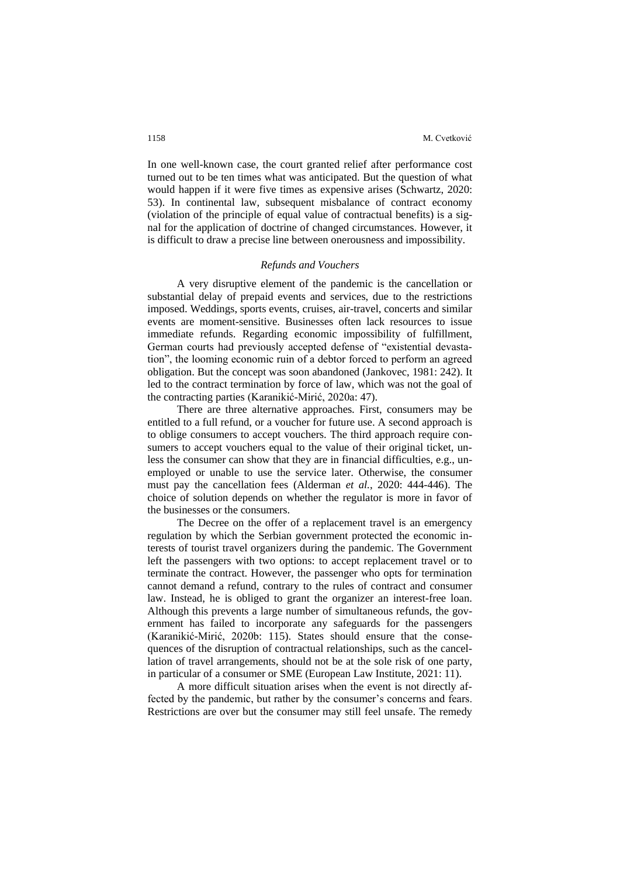In one well-known case, the court granted relief after performance cost turned out to be ten times what was anticipated. But the question of what would happen if it were five times as expensive arises (Schwartz, 2020: 53). In continental law, subsequent misbalance of contract economy (violation of the principle of equal value of contractual benefits) is a signal for the application of doctrine of changed circumstances. However, it is difficult to draw a precise line between onerousness and impossibility.

#### *Refunds and Vouchers*

A very disruptive element of the pandemic is the cancellation or substantial delay of prepaid events and services, due to the restrictions imposed. Weddings, sports events, cruises, air-travel, concerts and similar events are moment-sensitive. Businesses often lack resources to issue immediate refunds. Regarding economic impossibility of fulfillment, German courts had previously accepted defense of "existential devastation", the looming economic ruin of a debtor forced to perform an agreed obligation. But the concept was soon abandoned (Jankovec, 1981: 242). It led to the contract termination by force of law, which was not the goal of the contracting parties (Karanikić-Mirić, 2020a: 47).

There are three alternative approaches. First, consumers may be entitled to a full refund, or a voucher for future use. A second approach is to oblige consumers to accept vouchers. The third approach require consumers to accept vouchers equal to the value of their original ticket, unless the consumer can show that they are in financial difficulties, e.g., unemployed or unable to use the service later. Otherwise, the consumer must pay the cancellation fees (Alderman *et al.*, 2020: 444-446). The choice of solution depends on whether the regulator is more in favor of the businesses or the consumers.

The Decree on the offer of a replacement travel is an emergency regulation by which the Serbian government protected the economic interests of tourist travel organizers during the pandemic. The Government left the passengers with two options: to accept replacement travel or to terminate the contract. However, the passenger who opts for termination cannot demand a refund, contrary to the rules of contract and consumer law. Instead, he is obliged to grant the organizer an interest-free loan. Although this prevents a large number of simultaneous refunds, the government has failed to incorporate any safeguards for the passengers (Karanikić-Mirić, 2020b: 115). States should ensure that the consequences of the disruption of contractual relationships, such as the cancellation of travel arrangements, should not be at the sole risk of one party, in particular of a consumer or SME (European Law Institute, 2021: 11).

A more difficult situation arises when the event is not directly affected by the pandemic, but rather by the consumer's concerns and fears. Restrictions are over but the consumer may still feel unsafe. The remedy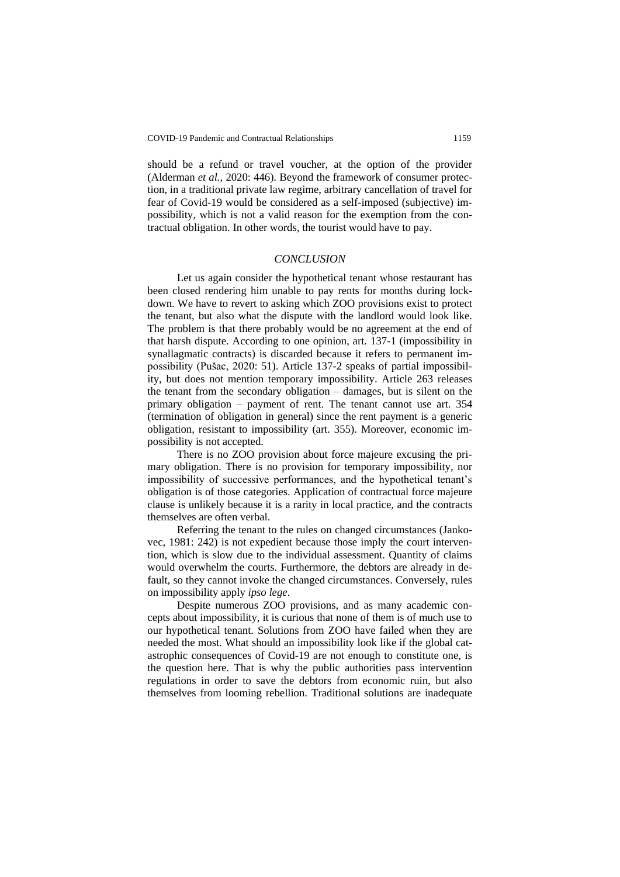should be a refund or travel voucher, at the option of the provider (Alderman *et al.*, 2020: 446). Beyond the framework of consumer protection, in a traditional private law regime, arbitrary cancellation of travel for fear of Covid-19 would be considered as a self-imposed (subjective) impossibility, which is not a valid reason for the exemption from the contractual obligation. In other words, the tourist would have to pay.

## *CONCLUSION*

Let us again consider the hypothetical tenant whose restaurant has been closed rendering him unable to pay rents for months during lockdown. We have to revert to asking which ZOO provisions exist to protect the tenant, but also what the dispute with the landlord would look like. The problem is that there probably would be no agreement at the end of that harsh dispute. According to one opinion, art. 137-1 (impossibility in synallagmatic contracts) is discarded because it refers to permanent impossibility (Pušac, 2020: 51). Article 137-2 speaks of partial impossibility, but does not mention temporary impossibility. Article 263 releases the tenant from the secondary obligation – damages, but is silent on the primary obligation – payment of rent. The tenant cannot use art. 354 (termination of obligation in general) since the rent payment is a generic obligation, resistant to impossibility (art. 355). Moreover, economic impossibility is not accepted.

There is no ZOO provision about force majeure excusing the primary obligation. There is no provision for temporary impossibility, nor impossibility of successive performances, and the hypothetical tenant's obligation is of those categories. Application of contractual force majeure clause is unlikely because it is a rarity in local practice, and the contracts themselves are often verbal.

Referring the tenant to the rules on changed circumstances (Jankovec, 1981: 242) is not expedient because those imply the court intervention, which is slow due to the individual assessment. Quantity of claims would overwhelm the courts. Furthermore, the debtors are already in default, so they cannot invoke the changed circumstances. Conversely, rules on impossibility apply *ipso lege*.

Despite numerous ZOO provisions, and as many academic concepts about impossibility, it is curious that none of them is of much use to our hypothetical tenant. Solutions from ZOO have failed when they are needed the most. What should an impossibility look like if the global catastrophic consequences of Covid-19 are not enough to constitute one, is the question here. That is why the public authorities pass intervention regulations in order to save the debtors from economic ruin, but also themselves from looming rebellion. Traditional solutions are inadequate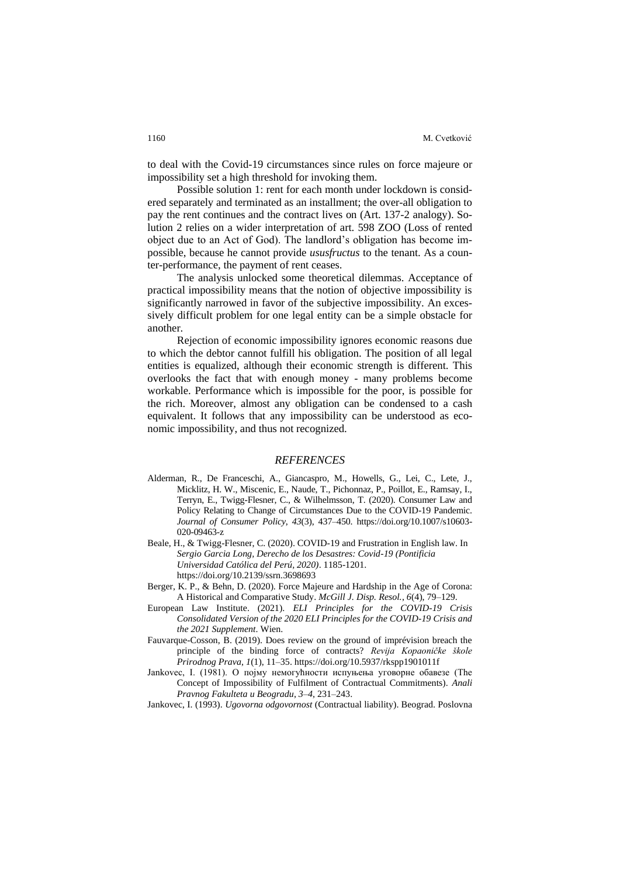to deal with the Covid-19 circumstances since rules on force majeure or impossibility set a high threshold for invoking them.

Possible solution 1: rent for each month under lockdown is considered separately and terminated as an installment; the over-all obligation to pay the rent continues and the contract lives on (Art. 137-2 analogy). Solution 2 relies on a wider interpretation of art. 598 ZOO (Loss of rented object due to an Act of God). The landlord's obligation has become impossible, because he cannot provide *ususfructus* to the tenant. As a counter-performance, the payment of rent ceases.

The analysis unlocked some theoretical dilemmas. Acceptance of practical impossibility means that the notion of objective impossibility is significantly narrowed in favor of the subjective impossibility. An excessively difficult problem for one legal entity can be a simple obstacle for another.

Rejection of economic impossibility ignores economic reasons due to which the debtor cannot fulfill his obligation. The position of all legal entities is equalized, although their economic strength is different. This overlooks the fact that with enough money - many problems become workable. Performance which is impossible for the poor, is possible for the rich. Moreover, almost any obligation can be condensed to a cash equivalent. It follows that any impossibility can be understood as economic impossibility, and thus not recognized.

## *REFERENCES*

- Alderman, R., De Franceschi, A., Giancaspro, M., Howells, G., Lei, C., Lete, J., Micklitz, H. W., Miscenic, E., Naude, T., Pichonnaz, P., Poillot, E., Ramsay, I., Terryn, E., Twigg-Flesner, C., & Wilhelmsson, T. (2020). Consumer Law and Policy Relating to Change of Circumstances Due to the COVID-19 Pandemic. *Journal of Consumer Policy*, *43*(3), 437–450. https://doi.org/10.1007/s10603- 020-09463-z
- Beale, H., & Twigg-Flesner, C. (2020). COVID-19 and Frustration in English law. In *Sergio Garcia Long, Derecho de los Desastres: Covid-19 (Pontificia Universidad Católica del Perú, 2020)*. 1185-1201. https://doi.org/10.2139/ssrn.3698693
- Berger, K. P., & Behn, D. (2020). Force Majeure and Hardship in the Age of Corona: A Historical and Comparative Study. *McGill J. Disp. Resol.*, *6*(4), 79–129.
- European Law Institute. (2021). *ELI Principles for the COVID-19 Crisis Consolidated Version of the 2020 ELI Principles for the COVID-19 Crisis and the 2021 Supplement*. Wien.
- Fauvarque-Cosson, B. (2019). Does review on the ground of imprévision breach the principle of the binding force of contracts? *Revija Kopaoničke škole Prirodnog Prava*, *1*(1), 11–35. https://doi.org/10.5937/rkspp1901011f
- Jankovec, I. (1981). О појму немогућности испуњења уговорне обавезе (Тhе Concept of Impossibility of Fulfilment of Contractual Commitments). *Anali Pravnog Fakulteta u Beogradu*, *3*–*4*, 231–243.

Jankovec, I. (1993). *Ugovorna odgovornost* (Contractual liability). Beograd. Poslovna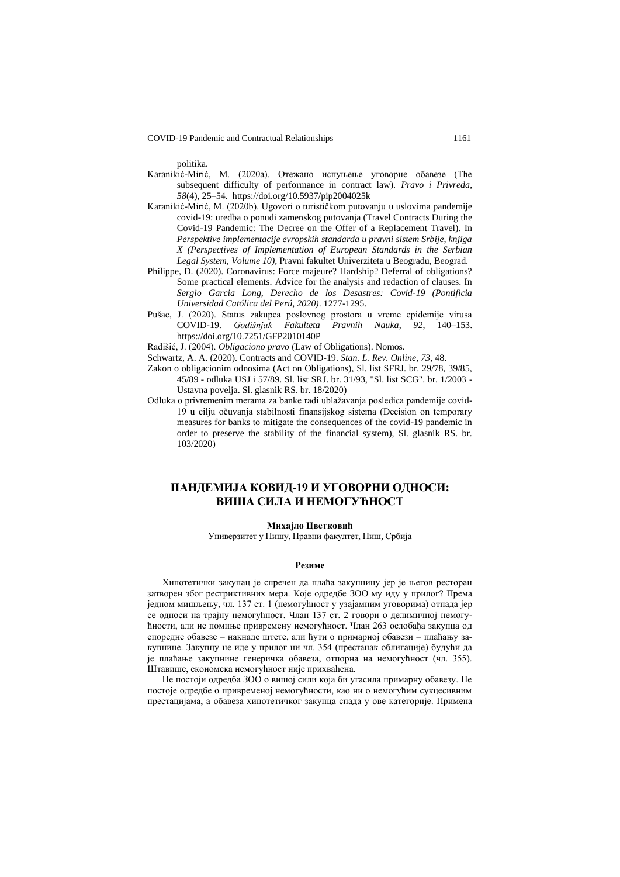politika.

- Karanikić-Mirić, M. (2020a). Отежано испуњење уговорне обавезе (The subsequent difficulty of performance in contract law). *Pravo i Privreda*, *58*(4), 25–54. https://doi.org/10.5937/pip2004025k
- Karanikić-Mirić, M. (2020b). Ugovori o turističkom putovanju u uslovima pandemije covid-19: uredba o ponudi zamenskog putovanja (Travel Contracts During the Covid-19 Pandemic: The Decree on the Offer of a Replacement Travel). In *Perspektive implementacije evropskih standarda u pravni sistem Srbije, knjiga X (Perspectives of Implementation of European Standards in the Serbian Legal System, Volume 10),* Pravni fakultet Univerziteta u Beogradu, Beograd*.*
- Philippe, D. (2020). Coronavirus: Force majeure? Hardship? Deferral of obligations? Some practical elements. Advice for the analysis and redaction of clauses. In *Sergio Garcia Long, Derecho de los Desastres: Covid-19 (Pontificia Universidad Católica del Perú, 2020)*. 1277-1295.
- Pušac, J. (2020). Status zakupca poslovnog prostora u vreme epidemije virusa<br>COVID-19. *Godišnjak Fakulteta Pravnih Nauka*, 92, 140–153. COVID-19. *Godišnjak Fakulteta Pravnih Nauka*, *92*, 140–153. https://doi.org/10.7251/GFP2010140P

Radišić, J. (2004). *Obligaciono pravo* (Law of Obligations). Nomos.

- Schwartz, A. A. (2020). Contracts and COVID-19. *Stan. L. Rev. Online*, *73*, 48.
- Zakon o obligacionim odnosima (Act on Obligations), Sl. list SFRJ. br. 29/78, 39/85, 45/89 - odluka USJ i 57/89. Sl. list SRJ. br. 31/93, "Sl. list SCG". br. 1/2003 - Ustavna povelja. Sl. glasnik RS. br. 18/2020)
- Odluka o privremenim merama za banke radi ublažavanja posledica pandemije covid-19 u cilju očuvanja stabilnosti finansijskog sistema (Decision on temporary measures for banks to mitigate the consequences of the covid-19 pandemic in order to preserve the stability of the financial system), Sl. glasnik RS. br. 103/2020)

# **ПАНДЕМИЈА КОВИД-19 И УГОВОРНИ ОДНОСИ: ВИША СИЛА И НЕМОГУЋНОСТ**

#### **Михајло Цветковић**

Универзитет у Нишу, Правни факултет, Ниш, Србија

## **Резиме**

Хипотетички закупац је спречен да плаћа закупнину јер је његов ресторан затворен због рестриктивних мера. Које одредбе ЗОО му иду у прилог? Према једном мишљењу, чл. 137 ст. 1 (немогућност у узајамним уговорима) отпада јер се односи на трајну немогућност. Члан 137 ст. 2 говори о делимичној немогућности, али не помиње привремену немогућност. Члан 263 ослобађа закупца од споредне обавезе – накнаде штете, али ћути о примарној обавези – плаћању закупнине. Закупцу не иде у прилог ни чл. 354 (престанак облигације) будући да је плаћање закупнине генеричка обавеза, отпорна на немогућност (чл. 355). Штавише, економска немогућност није прихваћена.

Не постоји одредба ЗОО о вишој сили која би угасила примарну обавезу. Не постоје одредбе о привременој немогућности, као ни о немогућим сукцесивним престацијама, а обавеза хипотетичког закупца спада у ове категорије. Примена